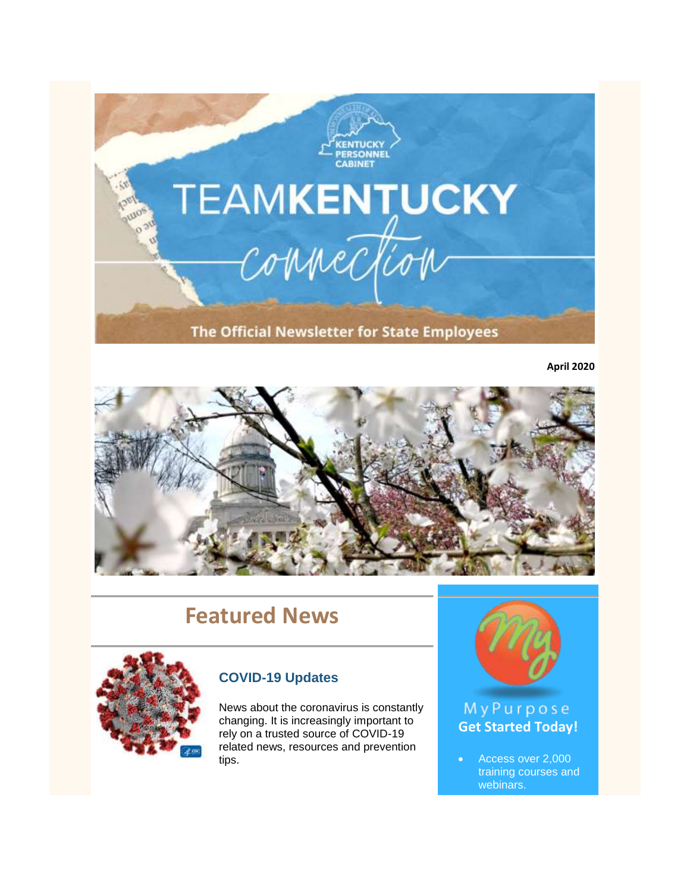

**April 2020**



# **Featured News**



# **[COVID-19 Updates](https://govstatus.egov.com/kycovid19)**

News about the coronavirus is constantly changing. It is increasingly important to rely on a trusted source of COVID-19 related news, resources and prevention tips.



# MyPurpose **[Get Started Today!](https://mypurpose.ky.gov/)**

 Access over 2,000 training courses and webinars.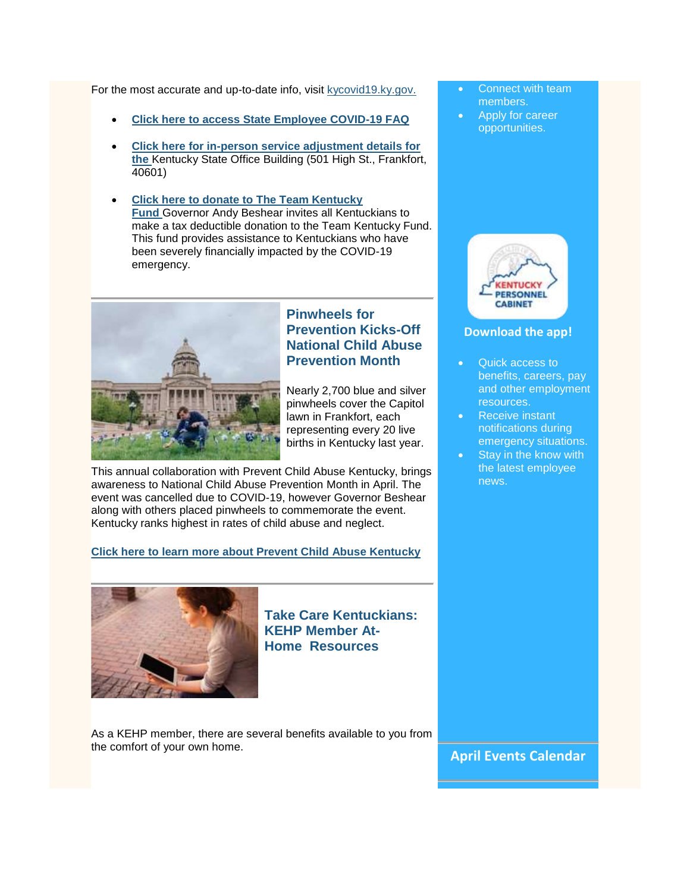For the most accurate and up-to-date info, visit [kycovid19.ky.gov.](https://govstatus.egov.com/kycovid19)

- **[Click here to access State Employee COVID-19 FAQ](https://personnel.ky.gov/Personnel%20Memos/COVID19_EmployeeFAQ_04012020.pdf)**
- **[Click here for in-person service adjustment details for](https://personnel.ky.gov/Documents/PERS%20Covid-19%20Action%20Steps.pdf)  [the](https://personnel.ky.gov/Documents/PERS%20Covid-19%20Action%20Steps.pdf)** Kentucky State Office Building (501 High St., Frankfort, 40601)
- **[Click here to donate to The Team Kentucky](https://secure.kentucky.gov/formservices/PPC/KYCOVID-19Donate)  [Fund](https://secure.kentucky.gov/formservices/PPC/KYCOVID-19Donate)** Governor Andy Beshear invites all Kentuckians to make a tax deductible donation to the Team Kentucky Fund. This fund provides assistance to Kentuckians who have been severely financially impacted by the COVID-19 emergency.



# **[Pinwheels for](https://pcaky.org/)  [Prevention Kicks-Off](https://pcaky.org/)  [National Child Abuse](https://pcaky.org/)  [Prevention Month](https://pcaky.org/)**

Nearly 2,700 blue and silver pinwheels cover the Capitol lawn in Frankfort, each representing every 20 live births in Kentucky last year.

This annual collaboration with Prevent Child Abuse Kentucky, brings awareness to National Child Abuse Prevention Month in April. The event was cancelled due to COVID-19, however Governor Beshear along with others placed pinwheels to commemorate the event. Kentucky ranks highest in rates of child abuse and neglect.

#### **[Click here to learn more about Prevent Child Abuse Kentucky](https://pcaky.org/)**



**[Take Care Kentuckians:](https://personnel.ky.gov/Pages/At-Home-KEHP-Member-Resources.aspx)  [KEHP Member At-](https://personnel.ky.gov/Pages/At-Home-KEHP-Member-Resources.aspx)Home [Resources](https://personnel.ky.gov/Pages/At-Home-KEHP-Member-Resources.aspx)**

As a KEHP member, there are several benefits available to you from the comfort of your own home.

- Connect with team members.
- Apply for career opportunities.



#### **[Download the app!](https://youtu.be/HJ3xwpwmDf4)**

- Quick access to benefits, careers, pay and other employment resources.
- Receive instant notifications during emergency situations.
- Stay in the know with the latest employee news.

**April Events Calendar**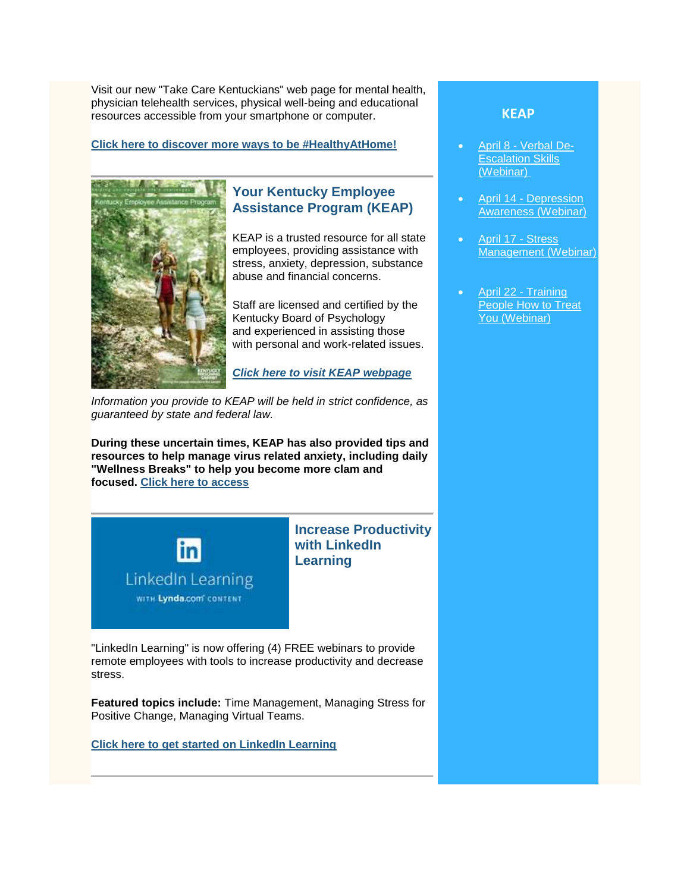Visit our new "Take Care Kentuckians" web page for mental health, physician telehealth services, physical well-being and educational resources accessible from your smartphone or computer.

#### **[Click here to discover more ways to be #HealthyAtHome!](https://personnel.ky.gov/Pages/At-Home-KEHP-Member-Resources.aspx)**



# **[Your Kentucky Employee](https://personnel.ky.gov/Pages/KEAP.aspx)  [Assistance Program \(KEAP\)](https://personnel.ky.gov/Pages/KEAP.aspx)**

KEAP is a trusted resource for all state employees, providing assistance with stress, anxiety, depression, substance abuse and financial concerns.

Staff are licensed and certified by the Kentucky Board of Psychology and experienced in assisting those with personal and work-related issues.

*[Click here to visit KEAP webpage](https://personnel.ky.gov/Pages/KEAP.aspx)*

*Information you provide to KEAP will be held in strict confidence, as guaranteed by state and federal law.*

**During these uncertain times, KEAP has also provided tips and resources to help manage virus related anxiety, including daily "Wellness Breaks" to help you become more clam and focused. [Click here to access](https://personnel.ky.gov/KEAP/Tips%20to%20help%20you%20manage%20virus-related%20anxiety.pdf)**



# **[Increase Productivity](https://www.linkedin.com/learning)  [with LinkedIn](https://www.linkedin.com/learning)  [Learning](https://www.linkedin.com/learning)**

"LinkedIn Learning" is now offering (4) FREE webinars to provide remote employees with tools to increase productivity and decrease stress.

**Featured topics include:** Time Management, Managing Stress for Positive Change, Managing Virtual Teams.

**[Click here to get started on LinkedIn Learning](https://www.linkedin.com/learning)**

### **[KEAP](https://personnel.ky.gov/Pages/CourseCalendar.aspx)**

- April 8 [Verbal De-](https://personnel.ky.gov/Lists/CalendarOfEvents/DispForm.aspx?ID=367&Source=https%3A%2F%2Fpersonnel%2Eky%2Egov%2FPages%2Femployeeevents%2Easpx)[Escalation Skills](https://personnel.ky.gov/Lists/CalendarOfEvents/DispForm.aspx?ID=367&Source=https%3A%2F%2Fpersonnel%2Eky%2Egov%2FPages%2Femployeeevents%2Easpx)  [\(Webinar\)](https://personnel.ky.gov/Lists/CalendarOfEvents/DispForm.aspx?ID=367&Source=https%3A%2F%2Fpersonnel%2Eky%2Egov%2FPages%2Femployeeevents%2Easpx)
- April 14 [Depression](https://personnel.ky.gov/Lists/CalendarOfEvents/DispForm.aspx?ID=369&Source=https%3A%2F%2Fpersonnel%2Eky%2Egov%2FPages%2Femployeeevents%2Easpx)  [Awareness \(Webinar\)](https://personnel.ky.gov/Lists/CalendarOfEvents/DispForm.aspx?ID=369&Source=https%3A%2F%2Fpersonnel%2Eky%2Egov%2FPages%2Femployeeevents%2Easpx)
- [April 17 -](https://personnel.ky.gov/Lists/CalendarOfEvents/DispForm.aspx?ID=364&Source=https%3A%2F%2Fpersonnel%2Eky%2Egov%2FLists%2FCalendarOfEvents%2Fcalendar%2Easpx) Stress [Management \(Webinar\)](https://personnel.ky.gov/Lists/CalendarOfEvents/DispForm.aspx?ID=364&Source=https%3A%2F%2Fpersonnel%2Eky%2Egov%2FLists%2FCalendarOfEvents%2Fcalendar%2Easpx)
- [April 22 -](https://personnel.ky.gov/Lists/CalendarOfEvents/DispForm.aspx?ID=368&Source=https%3A%2F%2Fpersonnel%2Eky%2Egov%2FPages%2Femployeeevents%2Easpx) Training [People How to Treat](https://personnel.ky.gov/Lists/CalendarOfEvents/DispForm.aspx?ID=368&Source=https%3A%2F%2Fpersonnel%2Eky%2Egov%2FPages%2Femployeeevents%2Easpx)  [You \(Webinar\)](https://personnel.ky.gov/Lists/CalendarOfEvents/DispForm.aspx?ID=368&Source=https%3A%2F%2Fpersonnel%2Eky%2Egov%2FPages%2Femployeeevents%2Easpx)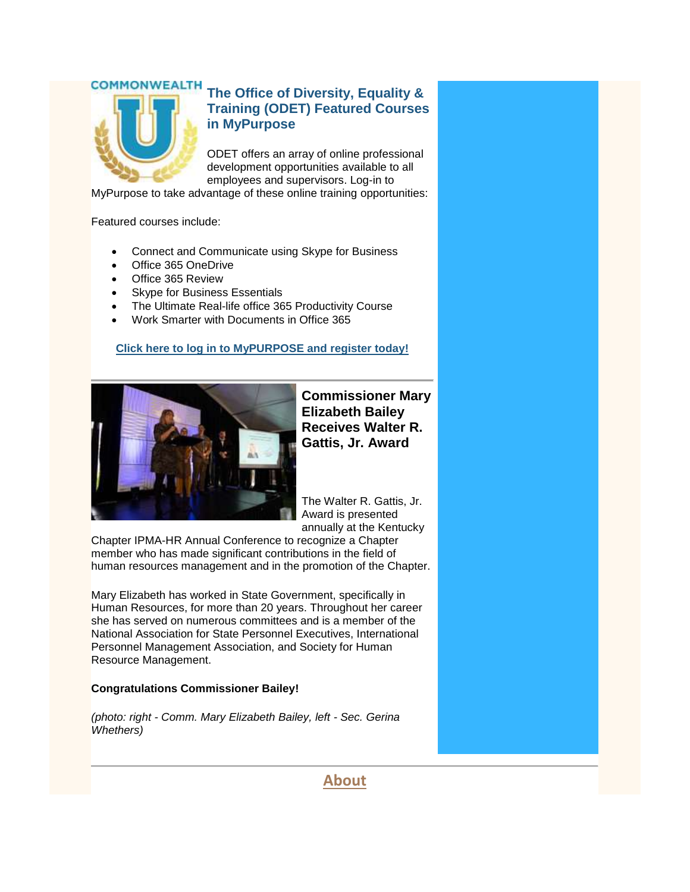# **COMMONWEALTH**

# **[The Office of Diversity, Equality &](https://mypurpose.ky.gov/)  [Training \(ODET\) Featured Courses](https://mypurpose.ky.gov/)  in [MyPurpose](https://mypurpose.ky.gov/)**

ODET offers an array of online professional development opportunities available to all employees and supervisors. Log-in to

MyPurpose to take advantage of these online training opportunities:

Featured courses include:

- Connect and Communicate using Skype for Business
- Office 365 OneDrive
- Office 365 Review
- Skype for Business Essentials
- The Ultimate Real-life office 365 Productivity Course
- Work Smarter with Documents in Office 365

## **[Click here to log in to MyPURPOSE and register today!](https://mypurpose.ky.gov/)**



**Commissioner Mary Elizabeth Bailey Receives Walter R. Gattis, Jr. Award**

The Walter R. Gattis, Jr. Award is presented annually at the Kentucky

Chapter IPMA-HR Annual Conference to recognize a Chapter member who has made significant contributions in the field of human resources management and in the promotion of the Chapter.

Mary Elizabeth has worked in State Government, specifically in Human Resources, for more than 20 years. Throughout her career she has served on numerous committees and is a member of the National Association for State Personnel Executives, International Personnel Management Association, and Society for Human Resource Management.

#### **Congratulations Commissioner Bailey!**

*(photo: right - Comm. Mary Elizabeth Bailey, left - Sec. Gerina Whethers)*